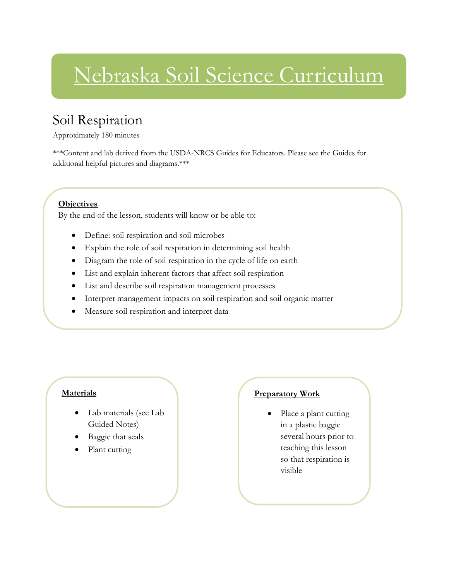# Nebraska Soil Science Curriculum

### Soil Respiration

Approximately 180 minutes

\*\*\*Content and lab derived from the USDA-NRCS Guides for Educators. Please see the Guides for additional helpful pictures and diagrams.\*\*\*

### **Objectives**

By the end of the lesson, students will know or be able to:

- Define: soil respiration and soil microbes
- Explain the role of soil respiration in determining soil health
- Diagram the role of soil respiration in the cycle of life on earth
- List and explain inherent factors that affect soil respiration
- List and describe soil respiration management processes
- Interpret management impacts on soil respiration and soil organic matter
- Measure soil respiration and interpret data

### **Materials**

- Lab materials (see Lab Guided Notes)
- Baggie that seals
- Plant cutting

### **Preparatory Work**

 Place a plant cutting in a plastic baggie several hours prior to teaching this lesson so that respiration is visible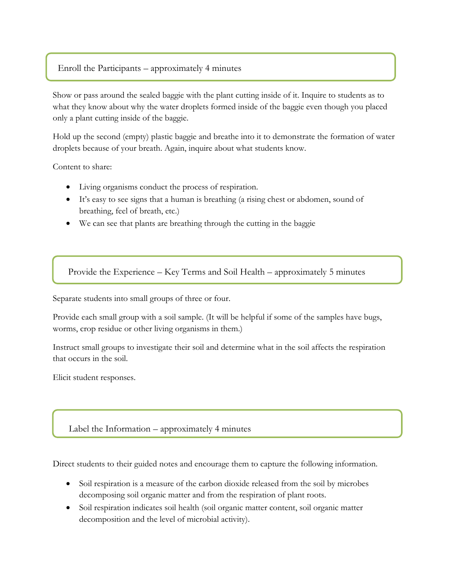### Enroll the Participants – approximately 4 minutes

Show or pass around the sealed baggie with the plant cutting inside of it. Inquire to students as to what they know about why the water droplets formed inside of the baggie even though you placed only a plant cutting inside of the baggie.

Hold up the second (empty) plastic baggie and breathe into it to demonstrate the formation of water droplets because of your breath. Again, inquire about what students know.

Content to share:

- Living organisms conduct the process of respiration.
- It's easy to see signs that a human is breathing (a rising chest or abdomen, sound of breathing, feel of breath, etc.)
- We can see that plants are breathing through the cutting in the baggie

Provide the Experience – Key Terms and Soil Health – approximately 5 minutes

Separate students into small groups of three or four.

Provide each small group with a soil sample. (It will be helpful if some of the samples have bugs, worms, crop residue or other living organisms in them.)

Instruct small groups to investigate their soil and determine what in the soil affects the respiration that occurs in the soil.

Elicit student responses.

Label the Information – approximately 4 minutes

Direct students to their guided notes and encourage them to capture the following information.

- Soil respiration is a measure of the carbon dioxide released from the soil by microbes decomposing soil organic matter and from the respiration of plant roots.
- Soil respiration indicates soil health (soil organic matter content, soil organic matter decomposition and the level of microbial activity).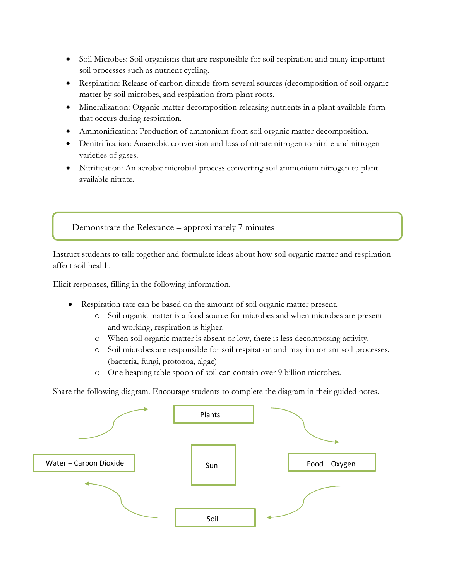- Soil Microbes: Soil organisms that are responsible for soil respiration and many important soil processes such as nutrient cycling.
- Respiration: Release of carbon dioxide from several sources (decomposition of soil organic matter by soil microbes, and respiration from plant roots.
- Mineralization: Organic matter decomposition releasing nutrients in a plant available form that occurs during respiration.
- Ammonification: Production of ammonium from soil organic matter decomposition.
- Denitrification: Anaerobic conversion and loss of nitrate nitrogen to nitrite and nitrogen varieties of gases.
- Nitrification: An aerobic microbial process converting soil ammonium nitrogen to plant available nitrate.

Demonstrate the Relevance – approximately 7 minutes

Instruct students to talk together and formulate ideas about how soil organic matter and respiration affect soil health.

Elicit responses, filling in the following information.

- Respiration rate can be based on the amount of soil organic matter present.
	- o Soil organic matter is a food source for microbes and when microbes are present and working, respiration is higher.
	- o When soil organic matter is absent or low, there is less decomposing activity.
	- o Soil microbes are responsible for soil respiration and may important soil processes. (bacteria, fungi, protozoa, algae)
	- o One heaping table spoon of soil can contain over 9 billion microbes.

Share the following diagram. Encourage students to complete the diagram in their guided notes.

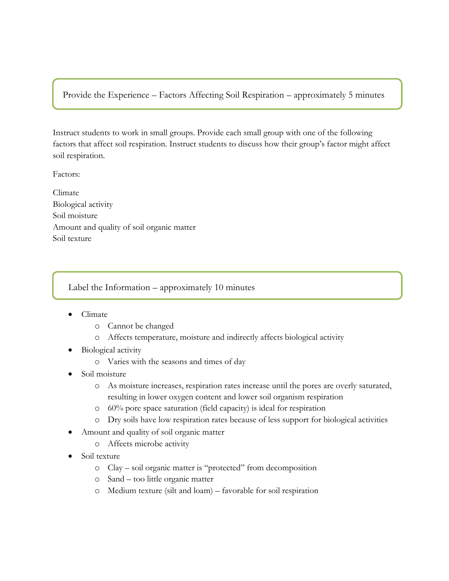Provide the Experience – Factors Affecting Soil Respiration – approximately 5 minutes

Instruct students to work in small groups. Provide each small group with one of the following factors that affect soil respiration. Instruct students to discuss how their group's factor might affect soil respiration.

Factors:

Climate Biological activity Soil moisture Amount and quality of soil organic matter Soil texture

Label the Information – approximately 10 minutes

- Climate
	- o Cannot be changed
	- o Affects temperature, moisture and indirectly affects biological activity
- Biological activity
	- o Varies with the seasons and times of day
- Soil moisture
	- o As moisture increases, respiration rates increase until the pores are overly saturated, resulting in lower oxygen content and lower soil organism respiration
	- o 60% pore space saturation (field capacity) is ideal for respiration
	- o Dry soils have low respiration rates because of less support for biological activities
- Amount and quality of soil organic matter
	- o Affects microbe activity
- Soil texture
	- o Clay soil organic matter is "protected" from decomposition
	- o Sand too little organic matter
	- o Medium texture (silt and loam) favorable for soil respiration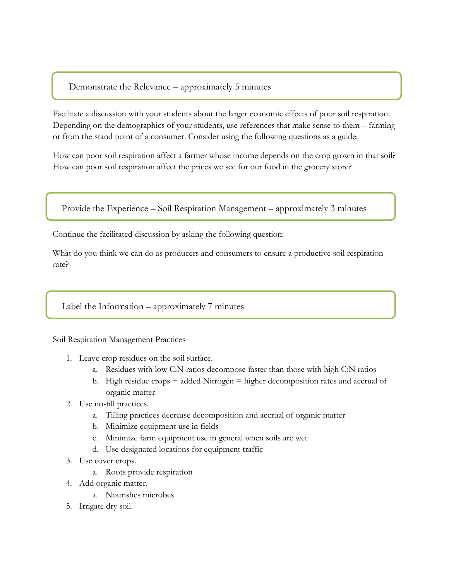### Demonstrate the Relevance – approximately 5 minutes

Facilitate a discussion with your students about the larger economic effects of poor soil respiration. Depending on the demographics of your students, use references that make sense to them – farming or from the stand point of a consumer. Consider using the following questions as a guide:

How can poor soil respiration affect a farmer whose income depends on the crop grown in that soil? How can poor soil respiration affect the prices we see for our food in the grocery store?

Provide the Experience – Soil Respiration Management – approximately 3 minutes

Continue the facilitated discussion by asking the following question:

What do you think we can do as producers and consumers to ensure a productive soil respiration rate?

#### Label the Information – approximately 7 minutes

Soil Respiration Management Practices

- 1. Leave crop residues on the soil surface.
	- a. Residues with low C:N ratios decompose faster than those with high C:N ratios
	- b. High residue crops  $+$  added Nitrogen  $=$  higher decomposition rates and accrual of organic matter
- 2. Use no-till practices.
	- a. Tilling practices decrease decomposition and accrual of organic matter
	- b. Minimize equipment use in fields
	- c. Minimize farm equipment use in general when soils are wet
	- d. Use designated locations for equipment traffic
- 3. Use cover crops.
	- a. Roots provide respiration
- 4. Add organic matter.
	- a. Nourishes microbes
- 5. Irrigate dry soil.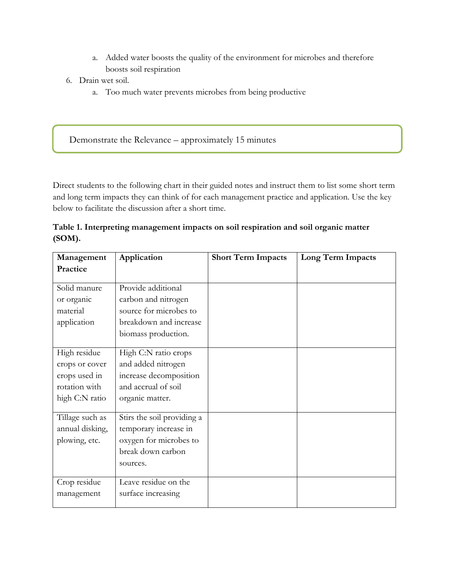- a. Added water boosts the quality of the environment for microbes and therefore boosts soil respiration
- 6. Drain wet soil.
	- a. Too much water prevents microbes from being productive

Demonstrate the Relevance – approximately 15 minutes

Direct students to the following chart in their guided notes and instruct them to list some short term and long term impacts they can think of for each management practice and application. Use the key below to facilitate the discussion after a short time.

### **Table 1. Interpreting management impacts on soil respiration and soil organic matter (SOM).**

| Management                                                                         | Application                                                                                                          | <b>Short Term Impacts</b> | Long Term Impacts |
|------------------------------------------------------------------------------------|----------------------------------------------------------------------------------------------------------------------|---------------------------|-------------------|
| Practice                                                                           |                                                                                                                      |                           |                   |
| Solid manure<br>or organic<br>material<br>application                              | Provide additional<br>carbon and nitrogen<br>source for microbes to<br>breakdown and increase<br>biomass production. |                           |                   |
| High residue<br>crops or cover<br>crops used in<br>rotation with<br>high C:N ratio | High C:N ratio crops<br>and added nitrogen<br>increase decomposition<br>and accrual of soil<br>organic matter.       |                           |                   |
| Tillage such as<br>annual disking,<br>plowing, etc.                                | Stirs the soil providing a<br>temporary increase in<br>oxygen for microbes to<br>break down carbon<br>sources.       |                           |                   |
| Crop residue<br>management                                                         | Leave residue on the<br>surface increasing                                                                           |                           |                   |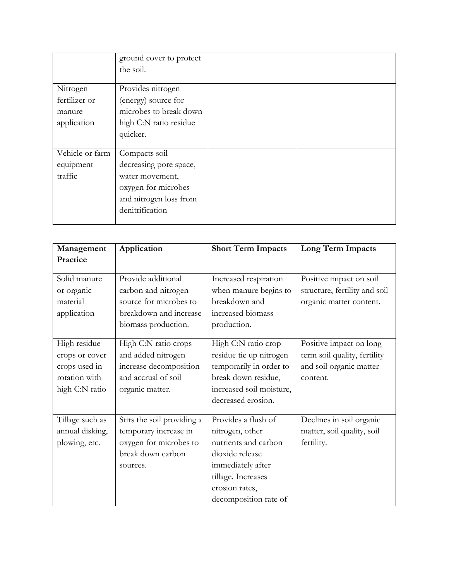|                                                    | ground cover to protect<br>the soil.                                                                                           |  |
|----------------------------------------------------|--------------------------------------------------------------------------------------------------------------------------------|--|
| Nitrogen<br>fertilizer or<br>manure<br>application | Provides nitrogen<br>(energy) source for<br>microbes to break down<br>high C:N ratio residue<br>quicker.                       |  |
| Vehicle or farm<br>equipment<br>traffic            | Compacts soil<br>decreasing pore space,<br>water movement,<br>oxygen for microbes<br>and nitrogen loss from<br>denitrification |  |

| Management                                                                         | Application                                                                                                          | <b>Short Term Impacts</b>                                                                                                                                               | Long Term Impacts                                                                              |  |
|------------------------------------------------------------------------------------|----------------------------------------------------------------------------------------------------------------------|-------------------------------------------------------------------------------------------------------------------------------------------------------------------------|------------------------------------------------------------------------------------------------|--|
| Practice                                                                           |                                                                                                                      |                                                                                                                                                                         |                                                                                                |  |
| Solid manure<br>or organic<br>material<br>application                              | Provide additional<br>carbon and nitrogen<br>source for microbes to<br>breakdown and increase<br>biomass production. | Increased respiration<br>when manure begins to<br>breakdown and<br>increased biomass<br>production.                                                                     | Positive impact on soil<br>structure, fertility and soil<br>organic matter content.            |  |
| High residue<br>crops or cover<br>crops used in<br>rotation with<br>high C:N ratio | High C:N ratio crops<br>and added nitrogen<br>increase decomposition<br>and accrual of soil<br>organic matter.       | High C:N ratio crop<br>residue tie up nitrogen<br>temporarily in order to<br>break down residue,<br>increased soil moisture,<br>decreased erosion.                      | Positive impact on long<br>term soil quality, fertility<br>and soil organic matter<br>content. |  |
| Tillage such as<br>annual disking,<br>plowing, etc.                                | Stirs the soil providing a<br>temporary increase in<br>oxygen for microbes to<br>break down carbon<br>sources.       | Provides a flush of<br>nitrogen, other<br>nutrients and carbon<br>dioxide release<br>immediately after<br>tillage. Increases<br>erosion rates,<br>decomposition rate of | Declines in soil organic<br>matter, soil quality, soil<br>fertility.                           |  |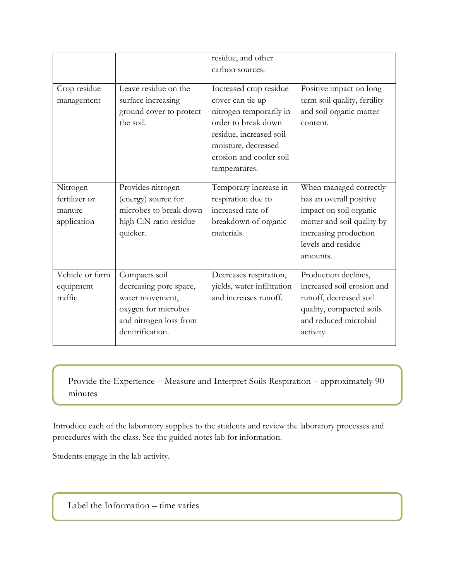|                                                    |                                                                                                                                 | residue, and other                                                                                                                                                                         |                                                                                                                                                                      |
|----------------------------------------------------|---------------------------------------------------------------------------------------------------------------------------------|--------------------------------------------------------------------------------------------------------------------------------------------------------------------------------------------|----------------------------------------------------------------------------------------------------------------------------------------------------------------------|
|                                                    |                                                                                                                                 | carbon sources.                                                                                                                                                                            |                                                                                                                                                                      |
| Crop residue<br>management                         | Leave residue on the<br>surface increasing<br>ground cover to protect<br>the soil.                                              | Increased crop residue<br>cover can tie up<br>nitrogen temporarily in<br>order to break down<br>residue, increased soil<br>moisture, decreased<br>erosion and cooler soil<br>temperatures. | Positive impact on long<br>term soil quality, fertility<br>and soil organic matter<br>content.                                                                       |
| Nitrogen<br>fertilizer or<br>manure<br>application | Provides nitrogen<br>(energy) source for<br>microbes to break down<br>high C:N ratio residue<br>quicker.                        | Temporary increase in<br>respiration due to<br>increased rate of<br>breakdown of organic<br>materials.                                                                                     | When managed correctly<br>has an overall positive<br>impact on soil organic<br>matter and soil quality by<br>increasing production<br>levels and residue<br>amounts. |
| Vehicle or farm<br>equipment<br>traffic            | Compacts soil<br>decreasing pore space,<br>water movement,<br>oxygen for microbes<br>and nitrogen loss from<br>denitrification. | Decreases respiration,<br>yields, water infiltration<br>and increases runoff.                                                                                                              | Production declines,<br>increased soil erosion and<br>runoff, decreased soil<br>quality, compacted soils<br>and reduced microbial<br>activity.                       |

Provide the Experience – Measure and Interpret Soils Respiration – approximately 90 minutes

Introduce each of the laboratory supplies to the students and review the laboratory processes and procedures with the class. See the guided notes lab for information.

Students engage in the lab activity.

Label the Information – time varies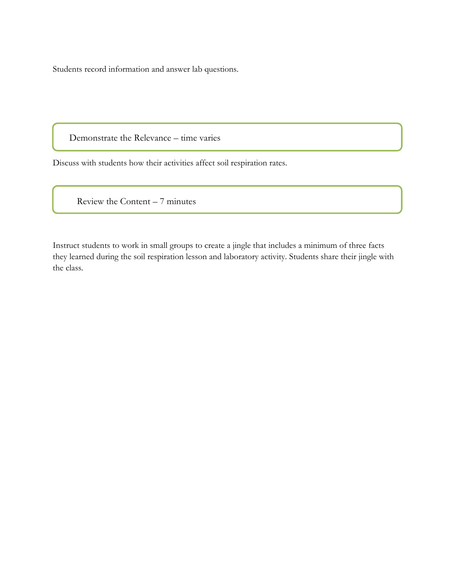Students record information and answer lab questions.

Demonstrate the Relevance – time varies

Discuss with students how their activities affect soil respiration rates.

Review the Content – 7 minutes

Instruct students to work in small groups to create a jingle that includes a minimum of three facts they learned during the soil respiration lesson and laboratory activity. Students share their jingle with the class.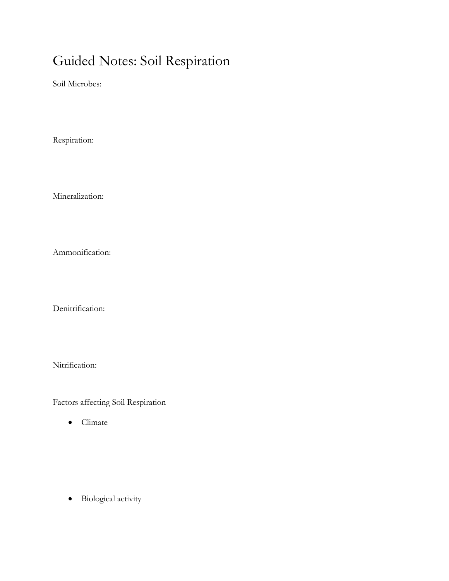## Guided Notes: Soil Respiration

Soil Microbes:

Respiration:

Mineralization:

Ammonification:

Denitrification:

Nitrification:

Factors affecting Soil Respiration

• Climate

Biological activity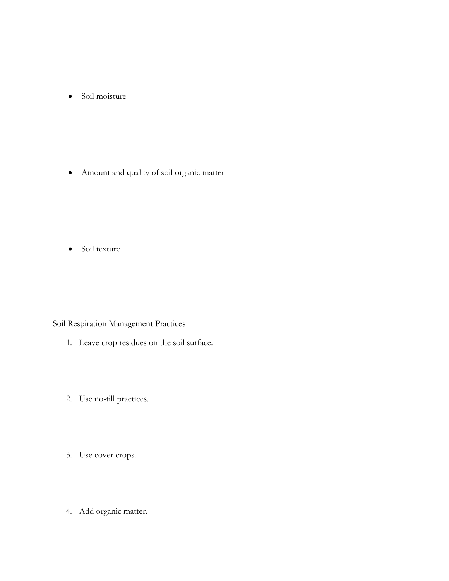• Soil moisture

Amount and quality of soil organic matter

• Soil texture

Soil Respiration Management Practices

- 1. Leave crop residues on the soil surface.
- 2. Use no-till practices.
- 3. Use cover crops.
- 4. Add organic matter.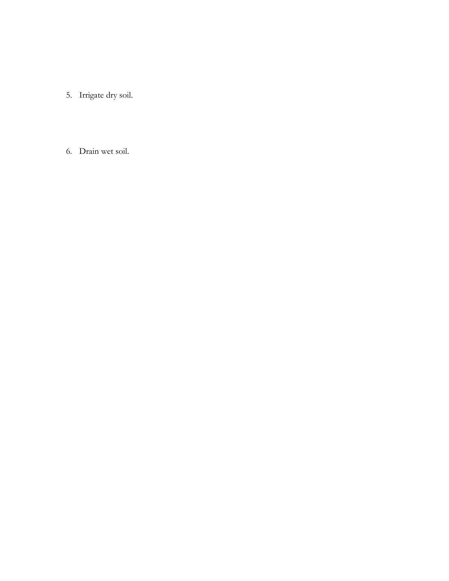5. Irrigate dry soil.

6. Drain wet soil.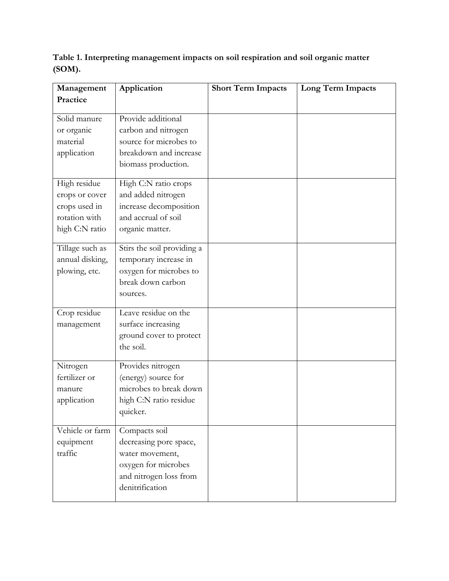**Table 1. Interpreting management impacts on soil respiration and soil organic matter (SOM).**

| Management      | Application                | <b>Short Term Impacts</b> | Long Term Impacts |
|-----------------|----------------------------|---------------------------|-------------------|
| Practice        |                            |                           |                   |
|                 |                            |                           |                   |
| Solid manure    | Provide additional         |                           |                   |
| or organic      | carbon and nitrogen        |                           |                   |
| material        | source for microbes to     |                           |                   |
| application     | breakdown and increase     |                           |                   |
|                 | biomass production.        |                           |                   |
| High residue    | High C:N ratio crops       |                           |                   |
| crops or cover  | and added nitrogen         |                           |                   |
| crops used in   | increase decomposition     |                           |                   |
| rotation with   | and accrual of soil        |                           |                   |
| high C:N ratio  | organic matter.            |                           |                   |
| Tillage such as | Stirs the soil providing a |                           |                   |
| annual disking, | temporary increase in      |                           |                   |
| plowing, etc.   | oxygen for microbes to     |                           |                   |
|                 | break down carbon          |                           |                   |
|                 | sources.                   |                           |                   |
|                 |                            |                           |                   |
| Crop residue    | Leave residue on the       |                           |                   |
| management      | surface increasing         |                           |                   |
|                 | ground cover to protect    |                           |                   |
|                 | the soil.                  |                           |                   |
| Nitrogen        | Provides nitrogen          |                           |                   |
| fertilizer or   | (energy) source for        |                           |                   |
| manure          | microbes to break down     |                           |                   |
| application     | high C:N ratio residue     |                           |                   |
|                 | quicker.                   |                           |                   |
| Vehicle or farm | Compacts soil              |                           |                   |
| equipment       | decreasing pore space,     |                           |                   |
| traffic         | water movement,            |                           |                   |
|                 | oxygen for microbes        |                           |                   |
|                 | and nitrogen loss from     |                           |                   |
|                 | denitrification            |                           |                   |
|                 |                            |                           |                   |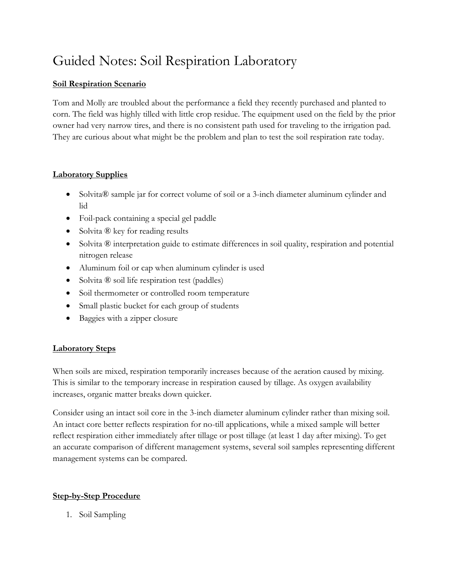## Guided Notes: Soil Respiration Laboratory

### **Soil Respiration Scenario**

Tom and Molly are troubled about the performance a field they recently purchased and planted to corn. The field was highly tilled with little crop residue. The equipment used on the field by the prior owner had very narrow tires, and there is no consistent path used for traveling to the irrigation pad. They are curious about what might be the problem and plan to test the soil respiration rate today.

### **Laboratory Supplies**

- Solvita® sample jar for correct volume of soil or a 3-inch diameter aluminum cylinder and lid
- Foil-pack containing a special gel paddle
- Solvita ® key for reading results
- Solvita ® interpretation guide to estimate differences in soil quality, respiration and potential nitrogen release
- Aluminum foil or cap when aluminum cylinder is used
- Solvita ® soil life respiration test (paddles)
- Soil thermometer or controlled room temperature
- Small plastic bucket for each group of students
- Baggies with a zipper closure

### **Laboratory Steps**

When soils are mixed, respiration temporarily increases because of the aeration caused by mixing. This is similar to the temporary increase in respiration caused by tillage. As oxygen availability increases, organic matter breaks down quicker.

Consider using an intact soil core in the 3-inch diameter aluminum cylinder rather than mixing soil. An intact core better reflects respiration for no-till applications, while a mixed sample will better reflect respiration either immediately after tillage or post tillage (at least 1 day after mixing). To get an accurate comparison of different management systems, several soil samples representing different management systems can be compared.

### **Step-by-Step Procedure**

1. Soil Sampling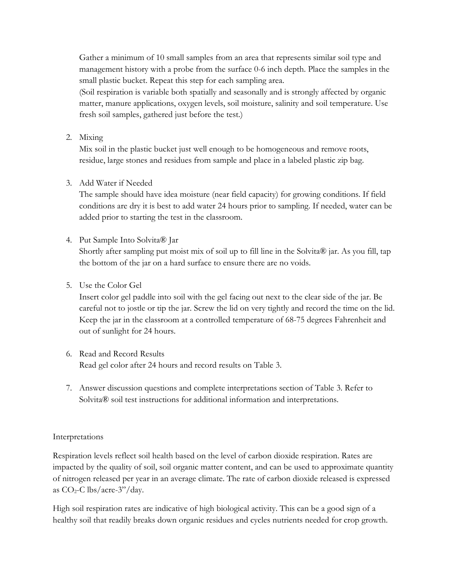Gather a minimum of 10 small samples from an area that represents similar soil type and management history with a probe from the surface 0-6 inch depth. Place the samples in the small plastic bucket. Repeat this step for each sampling area.

(Soil respiration is variable both spatially and seasonally and is strongly affected by organic matter, manure applications, oxygen levels, soil moisture, salinity and soil temperature. Use fresh soil samples, gathered just before the test.)

2. Mixing

Mix soil in the plastic bucket just well enough to be homogeneous and remove roots, residue, large stones and residues from sample and place in a labeled plastic zip bag.

3. Add Water if Needed

The sample should have idea moisture (near field capacity) for growing conditions. If field conditions are dry it is best to add water 24 hours prior to sampling. If needed, water can be added prior to starting the test in the classroom.

4. Put Sample Into Solvita® Jar

Shortly after sampling put moist mix of soil up to fill line in the Solvita® jar. As you fill, tap the bottom of the jar on a hard surface to ensure there are no voids.

5. Use the Color Gel

Insert color gel paddle into soil with the gel facing out next to the clear side of the jar. Be careful not to jostle or tip the jar. Screw the lid on very tightly and record the time on the lid. Keep the jar in the classroom at a controlled temperature of 68-75 degrees Fahrenheit and out of sunlight for 24 hours.

- 6. Read and Record Results Read gel color after 24 hours and record results on Table 3.
- 7. Answer discussion questions and complete interpretations section of Table 3. Refer to Solvita<sup>®</sup> soil test instructions for additional information and interpretations.

#### Interpretations

Respiration levels reflect soil health based on the level of carbon dioxide respiration. Rates are impacted by the quality of soil, soil organic matter content, and can be used to approximate quantity of nitrogen released per year in an average climate. The rate of carbon dioxide released is expressed as  $CO_2$ -C lbs/acre-3"/day.

High soil respiration rates are indicative of high biological activity. This can be a good sign of a healthy soil that readily breaks down organic residues and cycles nutrients needed for crop growth.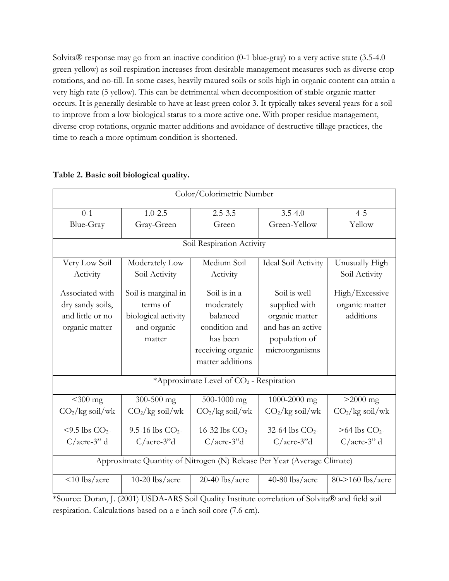Solvita® response may go from an inactive condition (0-1 blue-gray) to a very active state (3.5-4.0 green-yellow) as soil respiration increases from desirable management measures such as diverse crop rotations, and no-till. In some cases, heavily maured soils or soils high in organic content can attain a very high rate (5 yellow). This can be detrimental when decomposition of stable organic matter occurs. It is generally desirable to have at least green color 3. It typically takes several years for a soil to improve from a low biological status to a more active one. With proper residue management, diverse crop rotations, organic matter additions and avoidance of destructive tillage practices, the time to reach a more optimum condition is shortened.

| Color/Colorimetric Number                                               |                                                                                                                    |                                       |                       |                             |  |  |
|-------------------------------------------------------------------------|--------------------------------------------------------------------------------------------------------------------|---------------------------------------|-----------------------|-----------------------------|--|--|
| $0 - 1$                                                                 | $1.0 - 2.5$                                                                                                        | $2.5 - 3.5$                           | $3.5 - 4.0$           | $4 - 5$                     |  |  |
| Blue-Gray                                                               | Gray-Green<br>Green                                                                                                |                                       | Green-Yellow          | Yellow                      |  |  |
|                                                                         |                                                                                                                    | Soil Respiration Activity             |                       |                             |  |  |
| Very Low Soil                                                           | Moderately Low                                                                                                     | Medium Soil                           | Ideal Soil Activity   | Unusually High              |  |  |
| Activity                                                                | Soil Activity                                                                                                      | Activity                              |                       | Soil Activity               |  |  |
| Associated with                                                         | Soil is marginal in                                                                                                | Soil is in a                          | Soil is well          | High/Excessive              |  |  |
| dry sandy soils,                                                        | terms of                                                                                                           | moderately                            | supplied with         | organic matter              |  |  |
| and little or no                                                        | biological activity                                                                                                | balanced                              | organic matter        | additions                   |  |  |
| organic matter                                                          | and organic                                                                                                        | condition and                         | and has an active     |                             |  |  |
|                                                                         | matter                                                                                                             | has been                              | population of         |                             |  |  |
|                                                                         |                                                                                                                    | receiving organic<br>matter additions | microorganisms        |                             |  |  |
| *Approximate Level of CO <sub>2</sub> - Respiration                     |                                                                                                                    |                                       |                       |                             |  |  |
| $<$ 300 mg                                                              | 300-500 mg                                                                                                         | 500-1000 mg                           | 1000-2000 mg          | $>2000$ mg                  |  |  |
| $CO2/kg$ soil/wk                                                        | $CO2/kg$ soil/wk                                                                                                   | $CO2/kg$ soil/wk                      | $CO2/kg$ soil/wk      | $CO2/kg$ soil/wk            |  |  |
| $<$ 9.5 lbs CO <sub>2</sub> -                                           | 9.5-16 lbs $CO2$ -                                                                                                 | 16-32 lbs $CO2$ -                     | 32-64 lbs $CO2$ -     | $>64$ lbs CO <sub>2</sub> - |  |  |
| $C/accre-3"$ d                                                          | $C/ \text{acre-}3$ "d                                                                                              | $C/ \text{acre-}3$ "d                 | $C/ \text{acre-}3$ "d | $C/accre-3"$ d              |  |  |
| Approximate Quantity of Nitrogen (N) Release Per Year (Average Climate) |                                                                                                                    |                                       |                       |                             |  |  |
| $<$ 10 lbs/acre                                                         | $10-20$ lbs/acre<br>*Source: Doren I (2001) USDA ARS Soil Quality Institute correlation of Solvita® and field soil | $20-40$ lbs/acre                      | 40-80 lbs/acre        | 80->160 lbs/acre            |  |  |

### **Table 2. Basic soil biological quality.**

\*Source: Doran, J. (2001) USDA-ARS Soil Quality Institute correlation of Solvita® and field soil respiration. Calculations based on a e-inch soil core (7.6 cm).